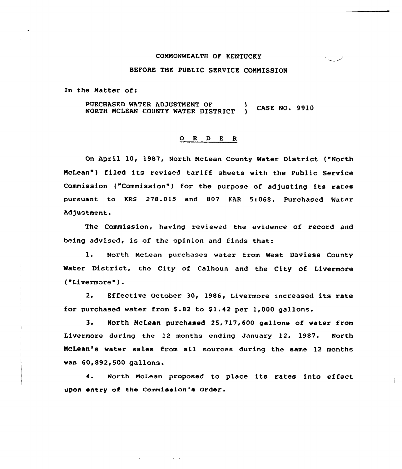### CONNONWEALTH OF KENTUCKY

#### BEFORE THE PUBLIC SERVICE COMMISSION

In the Natter of:

PURCHASED WATER ADJUSTNENT OF **NORTH MCLEAN COUNTY WATER DISTRICT** (CASE NO. 9910

#### 0 R <sup>D</sup> E R

On April 10, 1987, North NcLean County Water District ("North McLean") filed its revised tariff sheets with the Public Service Commission ("Commission") for the purpose of adjusting its rates pursuant to KRS 278.015 and 807 KAR 5:068, Purchased Water Adjustment.

The Commission, having reviewed the evidence of record and being advised, is of the opinion and finds that:

1. North NcLean purchases water from West Daviess County Mater District, the City of Calhoun and the City of Livermore ('Livermore ).

2. Effective October 30, 1986, Livermore increased its rate for purchased water from \$.82 to \$1.42 per 1,000 gallons.

3. North McLean purchased 25,717,600 gallons of water from Livermore during the 12 months ending January 12, 1987. North McLean's water sales from all sources during the same 12 months was 60,892,500 gallons.

4. North NcLean proposed to place its rates into effect upon entry of the Commission's Order.

للمتحدث والمرابات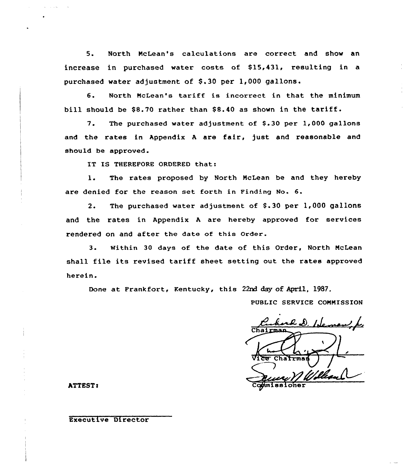5. North NcLean's calculations are correct and show an increase in purchased water costs of \$15,431, resulting in a purchased water adjustment of \$.30 per 1,000 gallons.

6. North McLean's tariff is incorrect in that the minimum bill should be \$8.70 rather than \$8.40 as shown in the tariff.

7. The purchased water adjustment of \$.30 per 1,000 gallons and the rates in Appendix <sup>A</sup> are fair, just and reasonable and should be approved.

IT IS THEREFORE ORDERED that:

1. The rates proposed by North McLean be and they hereby are denied for the reason set forth in Finding No. 6.

2. The purchased water adjustment of \$.30 per 1,000 gallons and the rates in Appendix <sup>A</sup> are hereby approved for services rendered on and after the date of this Order.

3. Within 30 days of the date of this Order, North McLean shall file its revised tariff sheet setting out the rates approved herein.

Done at Frankfort, Kentucky, this 22nd day of April, 1987.

PUBLIC SERVICE COMMISSION

rd D. Heman k  $\overline{\texttt{Chaj}}$ Vice Charmen ) | Commissione

ATTEST<

### Executive Director